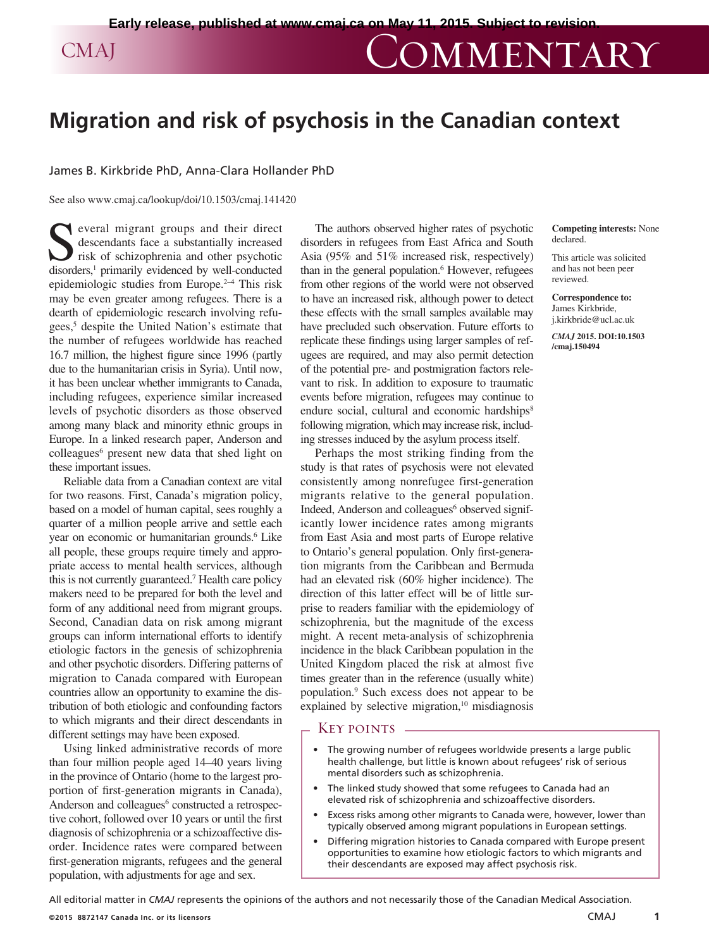# CMAJ COMMENTARY

## **Migration and risk of psychosis in the Canadian context**

### James B. Kirkbride PhD, Anna-Clara Hollander PhD

See also www.cmaj.ca/lookup/doi/10.1503/cmaj.141420

veral migrant groups and their direct descendants face a substantially increased risk of schizophrenia and other psychotic disorders,<sup>1</sup> primarily evidenced by well-conducted epidemiologic studies from Europe. $2-4$  This risk may be even greater among refugees. There is a dearth of epidemiologic research involving refugees,<sup>5</sup> despite the United Nation's estimate that the number of refugees worldwide has reached 16.7 million, the highest figure since 1996 (partly due to the humanitarian crisis in Syria). Until now, it has been unclear whether immigrants to Canada, including refugees, experience similar increased levels of psychotic disorders as those observed among many black and minority ethnic groups in Europe. In a linked research paper, Anderson and colleagues<sup>6</sup> present new data that shed light on these important issues.

Reliable data from a Canadian context are vital for two reasons. First, Canada's migration policy, based on a model of human capital, sees roughly a quarter of a million people arrive and settle each year on economic or humanitarian grounds.<sup>6</sup> Like all people, these groups require timely and appropriate access to mental health services, although this is not currently guaranteed.7 Health care policy makers need to be prepared for both the level and form of any additional need from migrant groups. Second, Canadian data on risk among migrant groups can inform international efforts to identify etiologic factors in the genesis of schizophrenia and other psychotic disorders. Differing patterns of migration to Canada compared with European countries allow an opportunity to examine the distribution of both etiologic and confounding factors to which migrants and their direct descendants in different settings may have been exposed.

Using linked administrative records of more than four million people aged 14–40 years living in the province of Ontario (home to the largest proportion of first-generation migrants in Canada), Anderson and colleagues<sup>6</sup> constructed a retrospective cohort, followed over 10 years or until the first diagnosis of schizophrenia or a schizoaffective disorder. Incidence rates were compared between first-generation migrants, refugees and the general population, with adjustments for age and sex.

The authors observed higher rates of psychotic disorders in refugees from East Africa and South Asia (95% and 51% increased risk, respectively) than in the general population.<sup>6</sup> However, refugees from other regions of the world were not observed to have an increased risk, although power to detect these effects with the small samples available may have precluded such observation. Future efforts to replicate these findings using larger samples of refugees are required, and may also permit detection of the potential pre- and postmigration factors relevant to risk. In addition to exposure to traumatic events before migration, refugees may continue to endure social, cultural and economic hardships<sup>8</sup> following migration, which may increase risk, including stresses induced by the asylum process itself.

Perhaps the most striking finding from the study is that rates of psychosis were not elevated consistently among nonrefugee first-generation migrants relative to the general population. Indeed, Anderson and colleagues<sup>6</sup> observed significantly lower incidence rates among migrants from East Asia and most parts of Europe relative to Ontario's general population. Only first-generation migrants from the Caribbean and Bermuda had an elevated risk (60% higher incidence). The direction of this latter effect will be of little surprise to readers familiar with the epidemiology of schizophrenia, but the magnitude of the excess might. A recent meta-analysis of schizophrenia incidence in the black Caribbean population in the United Kingdom placed the risk at almost five times greater than in the reference (usually white) population.9 Such excess does not appear to be explained by selective migration, $10$  misdiagnosis

#### Key points

- The growing number of refugees worldwide presents a large public health challenge, but little is known about refugees' risk of serious mental disorders such as schizophrenia.
- The linked study showed that some refugees to Canada had an elevated risk of schizophrenia and schizoaffective disorders.
- Excess risks among other migrants to Canada were, however, lower than typically observed among migrant populations in European settings.
- Differing migration histories to Canada compared with Europe present opportunities to examine how etiologic factors to which migrants and their descendants are exposed may affect psychosis risk.

All editorial matter in *CMAJ* represents the opinions of the authors and not necessarily those of the Canadian Medical Association.

**Competing interests:** None declared.

This article was solicited and has not been peer reviewed.

**Correspondence to:**  James Kirkbride, j.kirkbride@ucl.ac.uk

*CMAJ* **2015. DOI:10.1503 /cmaj.150494**